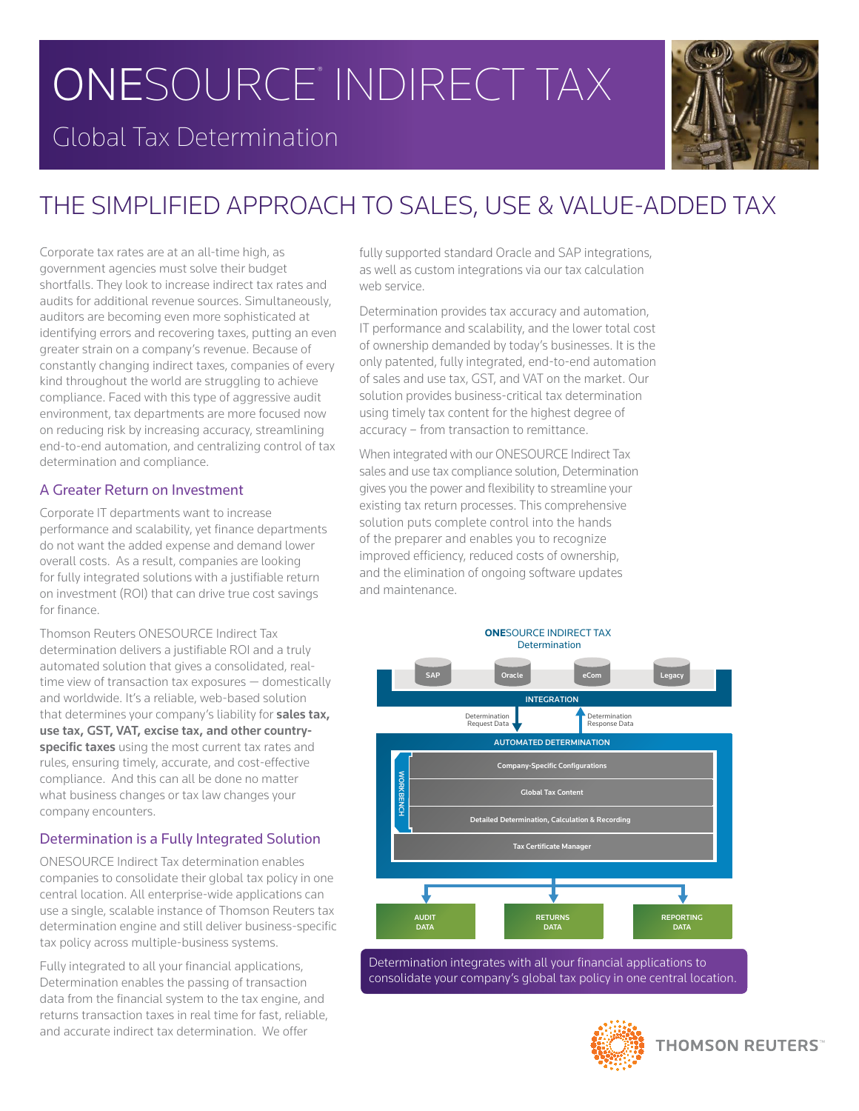# ONESOURCE<sup>®</sup> INDIRECT TAX

### Global Tax Determination



## THE SIMPLIFIED APPROACH TO SALES, USE & VALUE-ADDED TAX

Corporate tax rates are at an all-time high, as government agencies must solve their budget shortfalls. They look to increase indirect tax rates and audits for additional revenue sources. Simultaneously, auditors are becoming even more sophisticated at identifying errors and recovering taxes, putting an even greater strain on a company's revenue. Because of constantly changing indirect taxes, companies of every kind throughout the world are struggling to achieve compliance. Faced with this type of aggressive audit environment, tax departments are more focused now on reducing risk by increasing accuracy, streamlining end-to-end automation, and centralizing control of tax determination and compliance.

#### A Greater Return on Investment

Corporate IT departments want to increase performance and scalability, yet finance departments do not want the added expense and demand lower overall costs. As a result, companies are looking for fully integrated solutions with a justifiable return on investment (ROI) that can drive true cost savings for finance.

Thomson Reuters ONESOURCE Indirect Tax determination delivers a justifiable ROI and a truly automated solution that gives a consolidated, realtime view of transaction tax exposures — domestically and worldwide. It's a reliable, web-based solution that determines your company's liability for **sales tax, use tax, GST, VAT, excise tax, and other countryspecific taxes** using the most current tax rates and rules, ensuring timely, accurate, and cost-effective compliance. And this can all be done no matter what business changes or tax law changes your company encounters.

#### Determination is a Fully Integrated Solution

ONESOURCE Indirect Tax determination enables companies to consolidate their global tax policy in one central location. All enterprise-wide applications can use a single, scalable instance of Thomson Reuters tax determination engine and still deliver business-specific tax policy across multiple-business systems.

Fully integrated to all your financial applications, Determination enables the passing of transaction data from the financial system to the tax engine, and returns transaction taxes in real time for fast, reliable, and accurate indirect tax determination. We offer

fully supported standard Oracle and SAP integrations, as well as custom integrations via our tax calculation web service.

Determination provides tax accuracy and automation, IT performance and scalability, and the lower total cost of ownership demanded by today's businesses. It is the only patented, fully integrated, end-to-end automation of sales and use tax, GST, and VAT on the market. Our solution provides business-critical tax determination using timely tax content for the highest degree of accuracy – from transaction to remittance.

When integrated with our ONESOURCE Indirect Tax sales and use tax compliance solution, Determination gives you the power and flexibility to streamline your existing tax return processes. This comprehensive solution puts complete control into the hands of the preparer and enables you to recognize improved efficiency, reduced costs of ownership, and the elimination of ongoing software updates and maintenance.



Determination integrates with all your financial applications to consolidate your company's global tax policy in one central location.